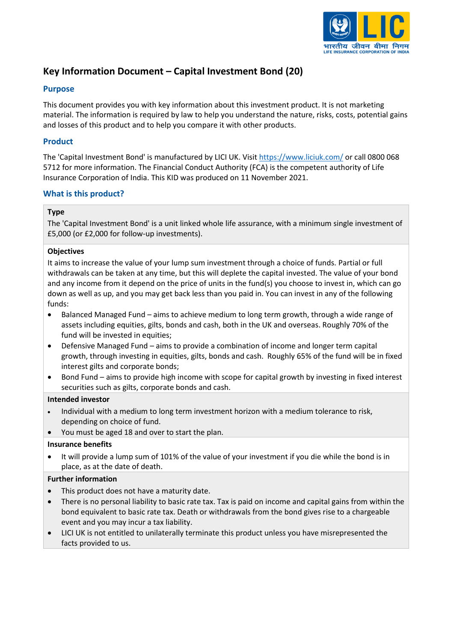

# **Key Information Document – Capital Investment Bond (20)**

# **Purpose**

This document provides you with key information about this investment product. It is not marketing material. The information is required by law to help you understand the nature, risks, costs, potential gains and losses of this product and to help you compare it with other products.

# **Product**

The 'Capital Investment Bond' is manufactured by LICI UK. Visit [https://www.liciuk.com/](http://www.liciuk.com/) or call 0800 068 5712 for more information. The Financial Conduct Authority (FCA) is the competent authority of Life Insurance Corporation of India. This KID was produced on 11 November 2021.

# **What is this product?**

# **Type**

The 'Capital Investment Bond' is a unit linked whole life assurance, with a minimum single investment of £5,000 (or £2,000 for follow-up investments).

### **Objectives**

It aims to increase the value of your lump sum investment through a choice of funds. Partial or full withdrawals can be taken at any time, but this will deplete the capital invested. The value of your bond and any income from it depend on the price of units in the fund(s) you choose to invest in, which can go down as well as up, and you may get back less than you paid in. You can invest in any of the following funds:

- Balanced Managed Fund aims to achieve medium to long term growth, through a wide range of assets including equities, gilts, bonds and cash, both in the UK and overseas. Roughly 70% of the fund will be invested in equities;
- Defensive Managed Fund aims to provide a combination of income and longer term capital growth, through investing in equities, gilts, bonds and cash. Roughly 65% of the fund will be in fixed interest gilts and corporate bonds;
- Bond Fund aims to provide high income with scope for capital growth by investing in fixed interest securities such as gilts, corporate bonds and cash.

### **Intended investor**

- Individual with a medium to long term investment horizon with a medium tolerance to risk, depending on choice of fund.
- You must be aged 18 and over to start the plan.

### **Insurance benefits**

• It will provide a lump sum of 101% of the value of your investment if you die while the bond is in place, as at the date of death.

# **Further information**

- This product does not have a maturity date.
- There is no personal liability to basic rate tax. Tax is paid on income and capital gains from within the bond equivalent to basic rate tax. Death or withdrawals from the bond gives rise to a chargeable event and you may incur a tax liability.
- LICI UK is not entitled to unilaterally terminate this product unless you have misrepresented the facts provided to us.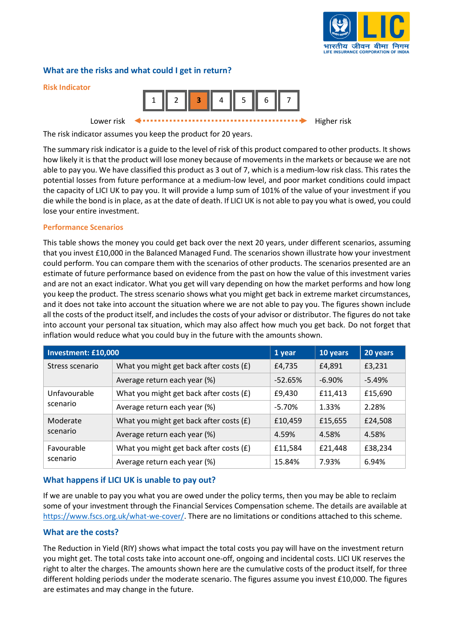

# **What are the risks and what could I get in return?**



The risk indicator assumes you keep the product for 20 years.

The summary risk indicator is a guide to the level of risk of this product compared to other products. It shows how likely it is that the product will lose money because of movements in the markets or because we are not able to pay you. We have classified this product as 3 out of 7, which is a medium-low risk class. This rates the potential losses from future performance at a medium-low level, and poor market conditions could impact the capacity of LICI UK to pay you. It will provide a lump sum of 101% of the value of your investment if you die while the bond is in place, as at the date of death. If LICI UK is not able to pay you what is owed, you could lose your entire investment.

#### **Performance Scenarios**

This table shows the money you could get back over the next 20 years, under different scenarios, assuming that you invest £10,000 in the Balanced Managed Fund. The scenarios shown illustrate how your investment could perform. You can compare them with the scenarios of other products. The scenarios presented are an estimate of future performance based on evidence from the past on how the value of this investment varies and are not an exact indicator. What you get will vary depending on how the market performs and how long you keep the product. The stress scenario shows what you might get back in extreme market circumstances, and it does not take into account the situation where we are not able to pay you. The figures shown include all the costs of the product itself, and includes the costs of your advisor or distributor. The figures do not take into account your personal tax situation, which may also affect how much you get back. Do not forget that inflation would reduce what you could buy in the future with the amounts shown.

| Investment: £10,000      | 1 year                                  | 10 years  | 20 years  |          |
|--------------------------|-----------------------------------------|-----------|-----------|----------|
| Stress scenario          | What you might get back after costs (£) | £4,735    | £4,891    | £3,231   |
|                          | Average return each year (%)            | $-52.65%$ | $-6.90\%$ | $-5.49%$ |
| Unfavourable<br>scenario | What you might get back after costs (£) | £9,430    | £11,413   | £15,690  |
|                          | Average return each year (%)            | $-5.70%$  | 1.33%     | 2.28%    |
| Moderate<br>scenario     | What you might get back after costs (£) | £10,459   | £15,655   | £24,508  |
|                          | Average return each year (%)            | 4.59%     | 4.58%     | 4.58%    |
| Favourable<br>scenario   | What you might get back after costs (£) | £11,584   | £21,448   | £38,234  |
|                          | Average return each year (%)            | 15.84%    | 7.93%     | 6.94%    |

# **What happens if LICI UK is unable to pay out?**

If we are unable to pay you what you are owed under the policy terms, then you may be able to reclaim some of your investment through the Financial Services Compensation scheme. The details are available at [https://www.fscs.org.uk/what-we-cover/.](https://www.fscs.org.uk/what-we-cover/) There are no limitations or conditions attached to this scheme.

### **What are the costs?**

The Reduction in Yield (RIY) shows what impact the total costs you pay will have on the investment return you might get. The total costs take into account one-off, ongoing and incidental costs. LICI UK reserves the right to alter the charges. The amounts shown here are the cumulative costs of the product itself, for three different holding periods under the moderate scenario. The figures assume you invest £10,000. The figures are estimates and may change in the future.

**Risk Indicator**